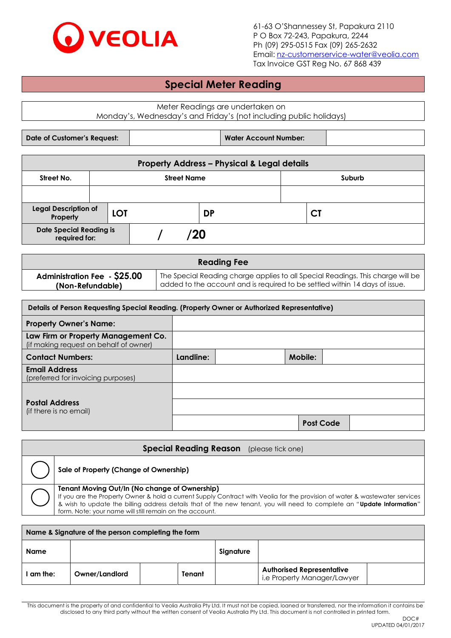

61-63 O'Shannessey St, Papakura 2110 P O Box 72-243, Papakura, 2244 Ph (09) 295-0515 Fax (09) 265-2632 Email[: nz-customerservice-water@veolia.com](mailto:nz-customerservice-water@veolia.com) Tax Invoice GST Reg No. 67 868 439

# **Special Meter Reading**

Meter Readings are undertaken on Monday's, Wednesday's and Friday's (not including public holidays)

| Date of Customer's Request: | <b>Water Account Number:</b> |  |
|-----------------------------|------------------------------|--|

| <b>Property Address - Physical &amp; Legal details</b> |                              |  |           |           |  |  |    |  |  |
|--------------------------------------------------------|------------------------------|--|-----------|-----------|--|--|----|--|--|
| Street No.                                             | <b>Street Name</b><br>Suburb |  |           |           |  |  |    |  |  |
|                                                        |                              |  |           |           |  |  |    |  |  |
| <b>Legal Description of</b><br>LOT<br>Property         |                              |  |           | <b>DP</b> |  |  | C1 |  |  |
| <b>Date Special Reading is</b><br>required for:        |                              |  | <b>20</b> |           |  |  |    |  |  |

| <b>Reading Fee</b>                  |                                                                                 |  |  |  |  |
|-------------------------------------|---------------------------------------------------------------------------------|--|--|--|--|
| <b>Administration Fee - \$25.00</b> | The Special Reading charge applies to all Special Readings. This charge will be |  |  |  |  |
| (Non-Refundable)                    | added to the account and is required to be settled within 14 days of issue.     |  |  |  |  |

| Details of Person Requesting Special Reading. (Property Owner or Authorized Representative) |           |  |         |                  |  |
|---------------------------------------------------------------------------------------------|-----------|--|---------|------------------|--|
| <b>Property Owner's Name:</b>                                                               |           |  |         |                  |  |
| Law Firm or Property Management Co.<br>(if making request on behalf of owner)               |           |  |         |                  |  |
| <b>Contact Numbers:</b>                                                                     | Landline: |  | Mobile: |                  |  |
| <b>Email Address</b><br>(preferred for invoicing purposes)                                  |           |  |         |                  |  |
|                                                                                             |           |  |         |                  |  |
| <b>Postal Address</b><br>(if there is no email)                                             |           |  |         |                  |  |
|                                                                                             |           |  |         | <b>Post Code</b> |  |

### **Special Reading Reason** (please tick one)

| $\int$ Sale of Property (Change of Ownership) |
|-----------------------------------------------|
|                                               |

#### **Tenant Moving Out/In (No change of Ownership)**

If you are the Property Owner & hold a current Supply Contract with Veolia for the provision of water & wastewater services & wish to update the billing address details that of the new tenant, you will need to complete an "**Update Information**" form. Note: your name will still remain on the account.

| Name & Signature of the person completing the form |                |  |        |           |                                                                 |  |
|----------------------------------------------------|----------------|--|--------|-----------|-----------------------------------------------------------------|--|
| <b>Name</b>                                        |                |  |        | Signature |                                                                 |  |
| am the:                                            | Owner/Landlord |  | Tenant |           | <b>Authorised Representative</b><br>i.e Property Manager/Lawyer |  |

This document is the property of and confidential to Veolia Australia Pty Ltd. It must not be copied, loaned or transferred, nor the information it contains be disclosed to any third party without the written consent of Veolia Australia Pty Ltd. This document is not controlled in printed form.